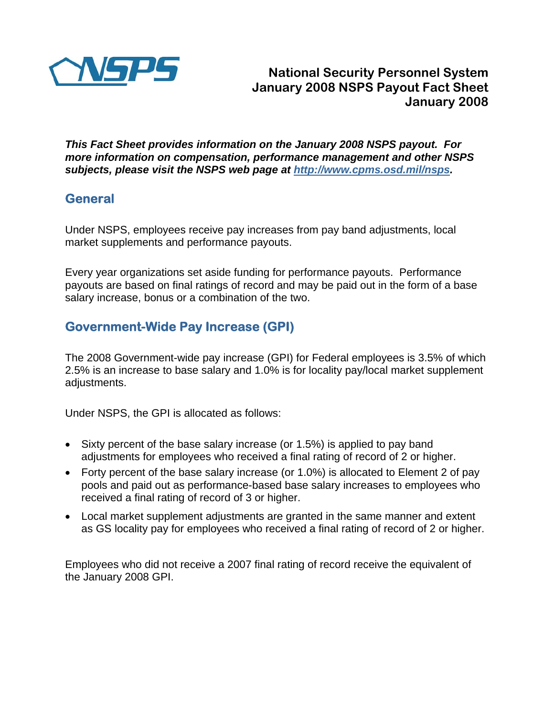

*This Fact Sheet provides information on the January 2008 NSPS payout. For more information on compensation, performance management and other NSPS subjects, please visit the NSPS web page at <http://www.cpms.osd.mil/nsps>.* 

## **General**

Under NSPS, employees receive pay increases from pay band adjustments, local market supplements and performance payouts.

Every year organizations set aside funding for performance payouts. Performance payouts are based on final ratings of record and may be paid out in the form of a base salary increase, bonus or a combination of the two.

# **Government-Wide Pay Increase (GPI)**

The 2008 Government-wide pay increase (GPI) for Federal employees is 3.5% of which 2.5% is an increase to base salary and 1.0% is for locality pay/local market supplement adjustments.

Under NSPS, the GPI is allocated as follows:

- Sixty percent of the base salary increase (or 1.5%) is applied to pay band adjustments for employees who received a final rating of record of 2 or higher.
- Forty percent of the base salary increase (or 1.0%) is allocated to Element 2 of pay pools and paid out as performance-based base salary increases to employees who received a final rating of record of 3 or higher.
- Local market supplement adjustments are granted in the same manner and extent as GS locality pay for employees who received a final rating of record of 2 or higher.

Employees who did not receive a 2007 final rating of record receive the equivalent of the January 2008 GPI.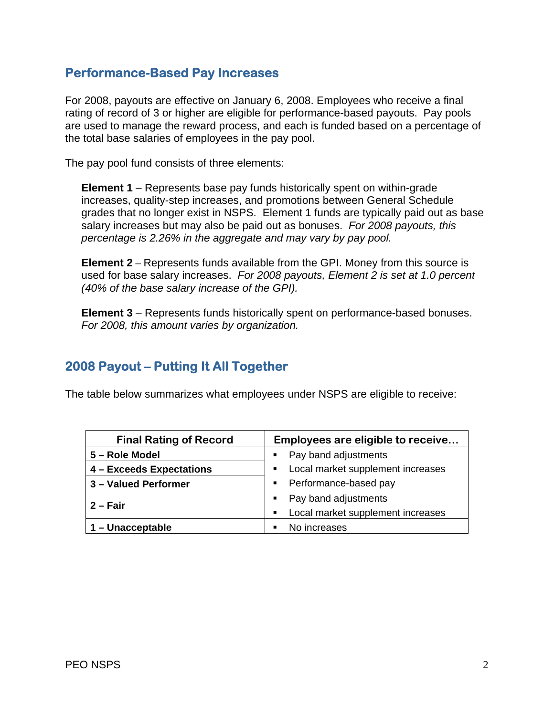#### **Performance-Based Pay Increases**

For 2008, payouts are effective on January 6, 2008. Employees who receive a final rating of record of 3 or higher are eligible for performance-based payouts. Pay pools are used to manage the reward process, and each is funded based on a percentage of the total base salaries of employees in the pay pool.

The pay pool fund consists of three elements:

**Element 1** – Represents base pay funds historically spent on within-grade increases, quality-step increases, and promotions between General Schedule grades that no longer exist in NSPS. Element 1 funds are typically paid out as base salary increases but may also be paid out as bonuses. *For 2008 payouts, this percentage is 2.26% in the aggregate and may vary by pay pool.* 

**Element 2** – Represents funds available from the GPI. Money from this source is used for base salary increases. *For 2008 payouts, Element 2 is set at 1.0 percent (40% of the base salary increase of the GPI).* 

**Element 3** – Represents funds historically spent on performance-based bonuses. *For 2008, this amount varies by organization.*

## **2008 Payout – Putting It All Together**

The table below summarizes what employees under NSPS are eligible to receive:

| <b>Final Rating of Record</b> | Employees are eligible to receive      |
|-------------------------------|----------------------------------------|
| 5 – Role Model                | Pay band adjustments                   |
| 4 - Exceeds Expectations      | Local market supplement increases<br>٠ |
| 3 - Valued Performer          | Performance-based pay<br>٠             |
| 2 – Fair                      | Pay band adjustments<br>$\blacksquare$ |
|                               | Local market supplement increases<br>٠ |
| 1 – Unacceptable              | No increases                           |